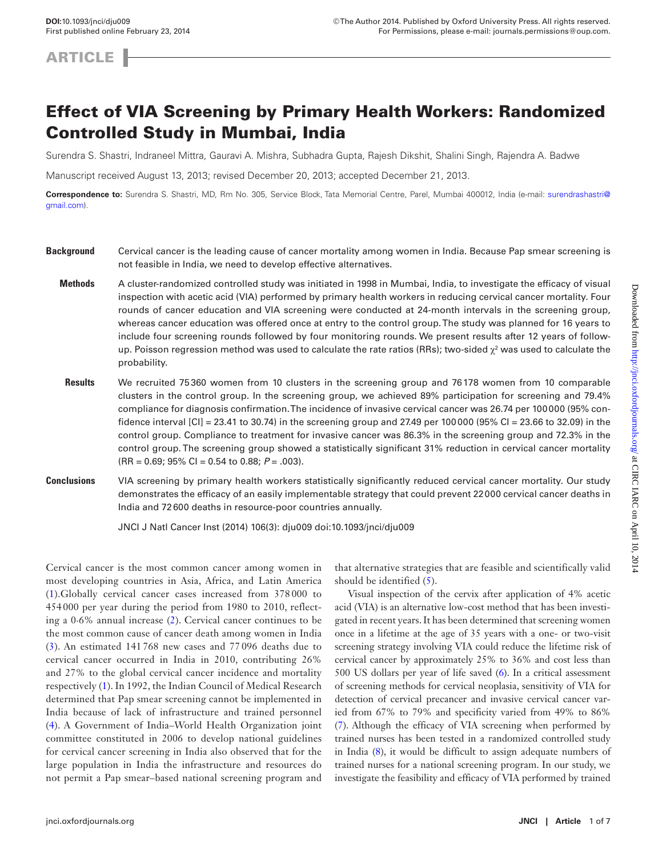**ARTICLE** 

# Effect of VIA Screening by Primary Health Workers: Randomized Controlled Study in Mumbai, India

Surendra S. Shastri, Indraneel Mittra, Gauravi A. Mishra, Subhadra Gupta, Rajesh Dikshit, Shalini Singh, Rajendra A. Badwe

Manuscript received August 13, 2013; revised December 20, 2013; accepted December 21, 2013.

**Correspondence to:** Surendra S. Shastri, MD, Rm No. 305, Service Block, Tata Memorial Centre, Parel, Mumbai 400012, India (e-mail: [surendrashastri@](mailto:surendrashastri@gmail.com?subject=) [gmail.com\)](mailto:surendrashastri@gmail.com?subject=).

- **Background** Cervical cancer is the leading cause of cancer mortality among women in India. Because Pap smear screening is not feasible in India, we need to develop effective alternatives.
	- **Methods** A cluster-randomized controlled study was initiated in 1998 in Mumbai, India, to investigate the efficacy of visual inspection with acetic acid (VIA) performed by primary health workers in reducing cervical cancer mortality. Four rounds of cancer education and VIA screening were conducted at 24-month intervals in the screening group, whereas cancer education was offered once at entry to the control group. The study was planned for 16 years to include four screening rounds followed by four monitoring rounds. We present results after 12 years of followup. Poisson regression method was used to calculate the rate ratios (RRs); two-sided  $\chi^2$  was used to calculate the probability.
	- **Results** We recruited 75360 women from 10 clusters in the screening group and 76178 women from 10 comparable clusters in the control group. In the screening group, we achieved 89% participation for screening and 79.4% compliance for diagnosis confirmation. The incidence of invasive cervical cancer was 26.74 per 100000 (95% confidence interval  $[Cl] = 23.41$  to 30.74) in the screening group and 27.49 per 100000 (95% CI = 23.66 to 32.09) in the control group. Compliance to treatment for invasive cancer was 86.3% in the screening group and 72.3% in the control group. The screening group showed a statistically significant 31% reduction in cervical cancer mortality (RR = 0.69; 95% CI = 0.54 to 0.88; *P* = .003).
- **Conclusions** VIA screening by primary health workers statistically significantly reduced cervical cancer mortality. Our study demonstrates the efficacy of an easily implementable strategy that could prevent 22000 cervical cancer deaths in India and 72600 deaths in resource-poor countries annually.

JNCI J Natl Cancer Inst (2014) 106(3): dju009 doi:10.1093/jnci/dju009

Cervical cancer is the most common cancer among women in most developing countries in Asia, Africa, and Latin America ([1\)](#page-5-0).Globally cervical cancer cases increased from 378 000 to 454 000 per year during the period from 1980 to 2010, reflecting a 0·6% annual increase ([2](#page-5-1)). Cervical cancer continues to be the most common cause of cancer death among women in India ([3\)](#page-5-2). An estimated 141 768 new cases and 77 096 deaths due to cervical cancer occurred in India in 2010, contributing 26% and 27% to the global cervical cancer incidence and mortality respectively [\(1](#page-5-0)). In 1992, the Indian Council of Medical Research determined that Pap smear screening cannot be implemented in India because of lack of infrastructure and trained personnel ([4\)](#page-5-3). A Government of India–World Health Organization joint committee constituted in 2006 to develop national guidelines for cervical cancer screening in India also observed that for the large population in India the infrastructure and resources do not permit a Pap smear–based national screening program and

that alternative strategies that are feasible and scientifically valid should be identified [\(5](#page-6-0)).

Visual inspection of the cervix after application of 4% acetic acid (VIA) is an alternative low-cost method that has been investigated in recent years. It has been determined that screening women once in a lifetime at the age of 35 years with a one- or two-visit screening strategy involving VIA could reduce the lifetime risk of cervical cancer by approximately 25% to 36% and cost less than 500 US dollars per year of life saved ([6\)](#page-6-1). In a critical assessment of screening methods for cervical neoplasia, sensitivity of VIA for detection of cervical precancer and invasive cervical cancer varied from 67% to 79% and specificity varied from 49% to 86% ([7\)](#page-6-2). Although the efficacy of VIA screening when performed by trained nurses has been tested in a randomized controlled study in India [\(8\)](#page-6-3), it would be difficult to assign adequate numbers of trained nurses for a national screening program. In our study, we investigate the feasibility and efficacy of VIA performed by trained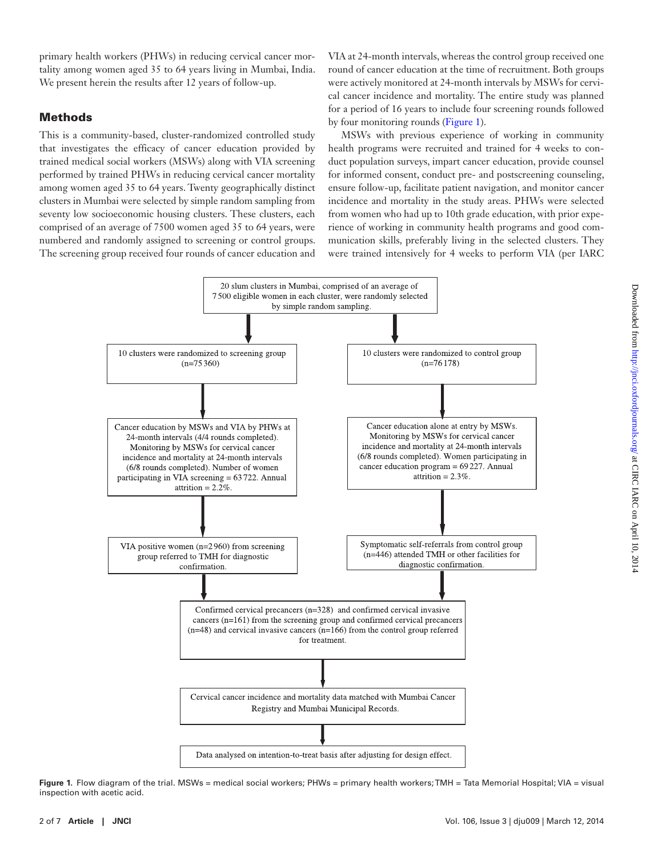primary health workers (PHWs) in reducing cervical cancer mortality among women aged 35 to 64 years living in Mumbai, India. We present herein the results after 12 years of follow-up.

# Methods

This is a community-based, cluster-randomized controlled study that investigates the efficacy of cancer education provided by trained medical social workers (MSWs) along with VIA screening performed by trained PHWs in reducing cervical cancer mortality among women aged 35 to 64 years. Twenty geographically distinct clusters in Mumbai were selected by simple random sampling from seventy low socioeconomic housing clusters. These clusters, each comprised of an average of 7500 women aged 35 to 64 years, were numbered and randomly assigned to screening or control groups. The screening group received four rounds of cancer education and

VIA at 24-month intervals, whereas the control group received one round of cancer education at the time of recruitment. Both groups were actively monitored at 24-month intervals by MSWs for cervical cancer incidence and mortality. The entire study was planned for a period of 16 years to include four screening rounds followed by four monitoring rounds ([Figure 1](#page-1-0)).

MSWs with previous experience of working in community health programs were recruited and trained for 4 weeks to conduct population surveys, impart cancer education, provide counsel for informed consent, conduct pre- and postscreening counseling, ensure follow-up, facilitate patient navigation, and monitor cancer incidence and mortality in the study areas. PHWs were selected from women who had up to 10th grade education, with prior experience of working in community health programs and good communication skills, preferably living in the selected clusters. They were trained intensively for 4 weeks to perform VIA (per IARC



<span id="page-1-0"></span>**Figure 1.** Flow diagram of the trial. MSWs = medical social workers; PHWs = primary health workers; TMH = Tata Memorial Hospital; VIA = visual inspection with acetic acid.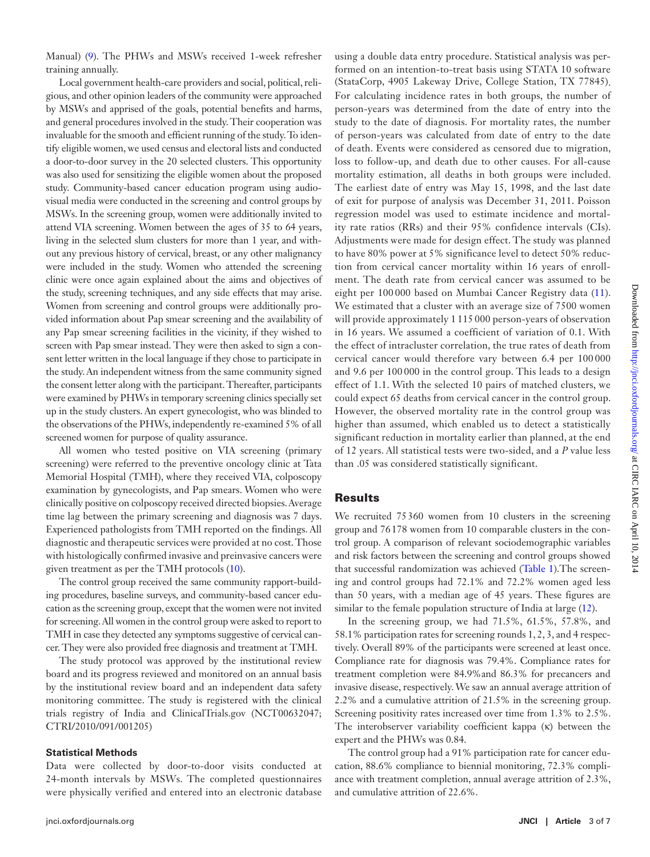Manual) ([9](#page-6-4)). The PHWs and MSWs received 1-week refresher training annually.

Local government health-care providers and social, political, religious, and other opinion leaders of the community were approached by MSWs and apprised of the goals, potential benefits and harms, and general procedures involved in the study. Their cooperation was invaluable for the smooth and efficient running of the study. To identify eligible women, we used census and electoral lists and conducted a door-to-door survey in the 20 selected clusters. This opportunity was also used for sensitizing the eligible women about the proposed study. Community-based cancer education program using audiovisual media were conducted in the screening and control groups by MSWs. In the screening group, women were additionally invited to attend VIA screening. Women between the ages of 35 to 64 years, living in the selected slum clusters for more than 1 year, and without any previous history of cervical, breast, or any other malignancy were included in the study. Women who attended the screening clinic were once again explained about the aims and objectives of the study, screening techniques, and any side effects that may arise. Women from screening and control groups were additionally provided information about Pap smear screening and the availability of any Pap smear screening facilities in the vicinity, if they wished to screen with Pap smear instead. They were then asked to sign a consent letter written in the local language if they chose to participate in the study. An independent witness from the same community signed the consent letter along with the participant. Thereafter, participants were examined by PHWs in temporary screening clinics specially set up in the study clusters. An expert gynecologist, who was blinded to the observations of the PHWs, independently re-examined 5% of all screened women for purpose of quality assurance.

All women who tested positive on VIA screening (primary screening) were referred to the preventive oncology clinic at Tata Memorial Hospital (TMH), where they received VIA, colposcopy examination by gynecologists, and Pap smears. Women who were clinically positive on colposcopy received directed biopsies. Average time lag between the primary screening and diagnosis was 7 days. Experienced pathologists from TMH reported on the findings. All diagnostic and therapeutic services were provided at no cost. Those with histologically confirmed invasive and preinvasive cancers were given treatment as per the TMH protocols ([10](#page-6-5)).

The control group received the same community rapport-building procedures, baseline surveys, and community-based cancer education as the screening group, except that the women were not invited for screening. All women in the control group were asked to report to TMH in case they detected any symptoms suggestive of cervical cancer. They were also provided free diagnosis and treatment at TMH.

The study protocol was approved by the institutional review board and its progress reviewed and monitored on an annual basis by the institutional review board and an independent data safety monitoring committee. The study is registered with the clinical trials registry of India and ClinicalTrials.gov (NCT00632047; CTRI/2010/091/001205)

#### **Statistical Methods**

Data were collected by door-to-door visits conducted at 24-month intervals by MSWs. The completed questionnaires were physically verified and entered into an electronic database

using a double data entry procedure. Statistical analysis was performed on an intention-to-treat basis using STATA 10 software (StataCorp, 4905 Lakeway Drive, College Station, TX 77845). For calculating incidence rates in both groups, the number of person-years was determined from the date of entry into the study to the date of diagnosis. For mortality rates, the number of person-years was calculated from date of entry to the date of death. Events were considered as censored due to migration, loss to follow-up, and death due to other causes. For all-cause mortality estimation, all deaths in both groups were included. The earliest date of entry was May 15, 1998, and the last date of exit for purpose of analysis was December 31, 2011. Poisson regression model was used to estimate incidence and mortality rate ratios (RRs) and their 95% confidence intervals (CIs). Adjustments were made for design effect. The study was planned to have 80% power at 5% significance level to detect 50% reduction from cervical cancer mortality within 16 years of enrollment. The death rate from cervical cancer was assumed to be eight per 100 000 based on Mumbai Cancer Registry data [\(11](#page-6-6)). We estimated that a cluster with an average size of 7500 women will provide approximately 1 115 000 person-years of observation in 16 years. We assumed a coefficient of variation of 0.1. With the effect of intracluster correlation, the true rates of death from cervical cancer would therefore vary between 6.4 per 100 000 and 9.6 per 100 000 in the control group. This leads to a design effect of 1.1. With the selected 10 pairs of matched clusters, we could expect 65 deaths from cervical cancer in the control group. However, the observed mortality rate in the control group was higher than assumed, which enabled us to detect a statistically significant reduction in mortality earlier than planned, at the end of 12 years. All statistical tests were two-sided, and a *P* value less than .05 was considered statistically significant.

### Results

We recruited 75360 women from 10 clusters in the screening group and 76178 women from 10 comparable clusters in the control group. A comparison of relevant sociodemographic variables and risk factors between the screening and control groups showed that successful randomization was achieved [\(Table 1](#page-3-0)).The screening and control groups had 72.1% and 72.2% women aged less than 50 years, with a median age of 45 years. These figures are similar to the female population structure of India at large ([12\)](#page-6-7).

In the screening group, we had 71.5%, 61.5%, 57.8%, and 58.1% participation rates for screening rounds 1, 2, 3, and 4 respectively. Overall 89% of the participants were screened at least once. Compliance rate for diagnosis was 79.4%. Compliance rates for treatment completion were 84.9%and 86.3% for precancers and invasive disease, respectively. We saw an annual average attrition of 2.2% and a cumulative attrition of 21.5% in the screening group. Screening positivity rates increased over time from 1.3% to 2.5%. The interobserver variability coefficient kappa (κ) between the expert and the PHWs was 0.84.

The control group had a 91% participation rate for cancer education, 88.6% compliance to biennial monitoring, 72.3% compliance with treatment completion, annual average attrition of 2.3%, and cumulative attrition of 22.6%.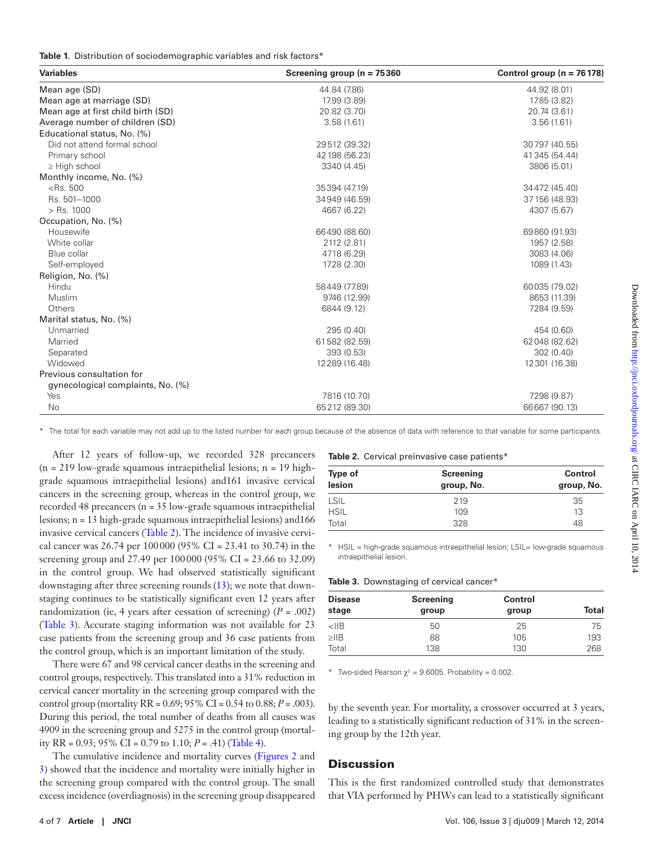<span id="page-3-0"></span>

|  | <b>Table 1.</b> Distribution of sociodemographic variables and risk factors* |  |  |  |  |  |  |  |
|--|------------------------------------------------------------------------------|--|--|--|--|--|--|--|
|--|------------------------------------------------------------------------------|--|--|--|--|--|--|--|

| <b>Variables</b>                   | Screening group ( $n = 75360$ | Control group ( $n = 76178$ ) |
|------------------------------------|-------------------------------|-------------------------------|
| Mean age (SD)                      | 44.84 (7.86)                  | 44.92 (8.01)                  |
| Mean age at marriage (SD)          | 17.99 (3.89)                  | 17.85 (3.82)                  |
| Mean age at first child birth (SD) | 20.82 (3.70)                  | 20.74 (3.61)                  |
| Average number of children (SD)    | 3.58(1.61)                    | 3.56(1.61)                    |
| Educational status, No. (%)        |                               |                               |
| Did not attend formal school       | 29512 (39.32)                 | 30797 (40.55)                 |
| Primary school                     | 42 198 (56.23)                | 41 345 (54.44)                |
| $\geq$ High school                 | 3340 (4.45)                   | 3806 (5.01)                   |
| Monthly income, No. (%)            |                               |                               |
| $<$ Rs. 500                        | 35394 (47.19)                 | 34472 (45.40)                 |
| Rs. 501-1000                       | 34949 (46.59)                 | 37 156 (48.93)                |
| $>$ Rs. 1000                       | 4667 (6.22)                   | 4307 (5.67)                   |
| Occupation, No. (%)                |                               |                               |
| Housewife                          | 66490 (88.60)                 | 69860 (91.93)                 |
| White collar                       | 2112 (2.81)                   | 1957 (2.58)                   |
| Blue collar                        | 4718 (6.29)                   | 3083 (4.06)                   |
| Self-employed                      | 1728 (2.30)                   | 1089 (1.43)                   |
| Religion, No. (%)                  |                               |                               |
| Hindu                              | 58449 (77.89)                 | 60035 (79.02)                 |
| Muslim                             | 9746 (12.99)                  | 8653 (11.39)                  |
| Others                             | 6844 (9.12)                   | 7284 (9.59)                   |
| Marital status, No. (%)            |                               |                               |
| Unmarried                          | 295 (0.40)                    | 454 (0.60)                    |
| Married                            | 61582 (82.59)                 | 62048 (82.62)                 |
| Separated                          | 393 (0.53)                    | 302 (0.40)                    |
| Widowed                            | 12 2 89 (16.48)               | 12301 (16.38)                 |
| Previous consultation for          |                               |                               |
| gynecological complaints, No. (%)  |                               |                               |
| Yes                                | 7816 (10.70)                  | 7298 (9.87)                   |
| <b>No</b>                          | 65212 (89.30)                 | 66667 (90.13)                 |

\* The total for each variable may not add up to the listed number for each group because of the absence of data with reference to that variable for some participants.

After 12 years of follow-up, we recorded 328 precancers  $(n = 219)$  low-grade squamous intraepithelial lesions; n = 19 highgrade squamous intraepithelial lesions) and161 invasive cervical cancers in the screening group, whereas in the control group, we recorded 48 precancers (n = 35 low-grade squamous intraepithelial lesions; n = 13 high-grade squamous intraepithelial lesions) and166 invasive cervical cancers [\(Table 2](#page-3-1)). The incidence of invasive cervical cancer was 26.74 per 100000 (95% CI = 23.41 to 30.74) in the screening group and 27.49 per 100000 (95% CI = 23.66 to 32.09) in the control group. We had observed statistically significant downstaging after three screening rounds ([13](#page-6-8)); we note that downstaging continues to be statistically significant even 12 years after randomization (ie, 4 years after cessation of screening)  $(P = .002)$ ([Table 3](#page-3-2)). Accurate staging information was not available for 23 case patients from the screening group and 36 case patients from the control group, which is an important limitation of the study.

There were 67 and 98 cervical cancer deaths in the screening and control groups, respectively. This translated into a 31% reduction in cervical cancer mortality in the screening group compared with the control group (mortality RR = 0.69; 95% CI = 0.54 to 0.88; *P* = .003). During this period, the total number of deaths from all causes was 4909 in the screening group and 5275 in the control group (mortality RR =  $0.93$ ;  $95\%$  CI =  $0.79$  to 1.10;  $P = .41$ ) ([Table 4](#page-4-0)).

The cumulative incidence and mortality curves [\(Figures 2](#page-5-4) and [3\)](#page-5-5) showed that the incidence and mortality were initially higher in the screening group compared with the control group. The small excess incidence (overdiagnosis) in the screening group disappeared <span id="page-3-1"></span>**Table 2.** Cervical preinvasive case patients\*

| <b>Type of</b><br>lesion | Screening<br>group, No. | Control<br>group, No. |
|--------------------------|-------------------------|-----------------------|
| <b>LSIL</b>              | 219                     | 35                    |
| <b>HSIL</b>              | 109                     | 13                    |
| Total                    | 328                     | 48                    |

\* HSIL = high-grade squamous intraepithelial lesion; LSIL= low-grade squamous intraepithelial lesion.

<span id="page-3-2"></span>

|  | Table 3. Downstaging of cervical cancer* |  |  |
|--|------------------------------------------|--|--|
|--|------------------------------------------|--|--|

| <b>Disease</b> | Screening | Control |       |
|----------------|-----------|---------|-------|
| stage          | group     | group   | Total |
| $<$ IIB        | 50        | 25      | 75    |
| $>$ IIB        | 88        | 105     | 193   |
| Total          | 138       | 130     | 268   |

\* Two-sided Pearson  $\gamma^2 = 9.6005$ . Probability = 0.002.

by the seventh year. For mortality, a crossover occurred at 3 years, leading to a statistically significant reduction of 31% in the screening group by the 12th year.

# **Discussion**

This is the first randomized controlled study that demonstrates that VIA performed by PHWs can lead to a statistically significant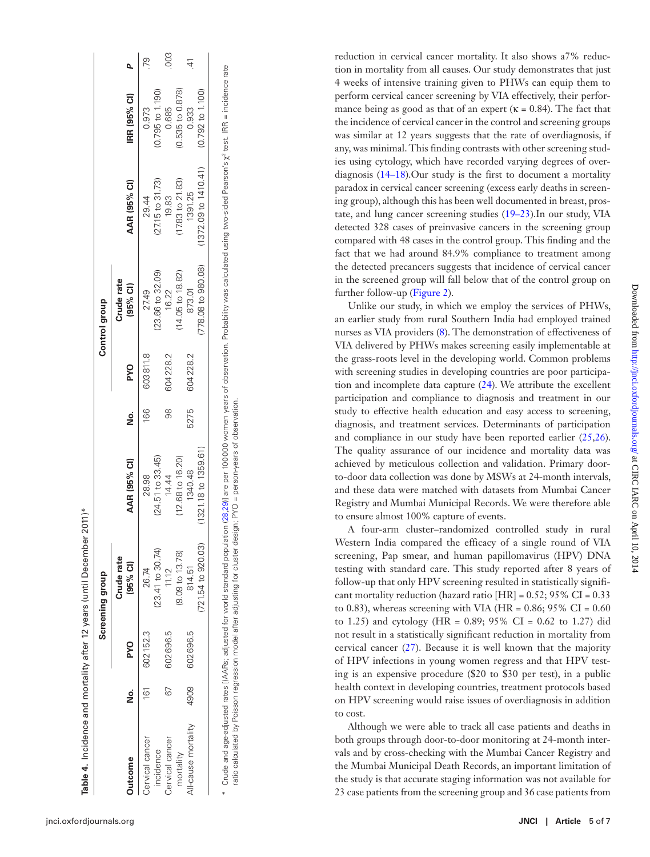|                     |      |            | Screening group            |                             |      |            | Control group            |                             |                             |     |
|---------------------|------|------------|----------------------------|-----------------------------|------|------------|--------------------------|-----------------------------|-----------------------------|-----|
| Jutcome             | ş    | <b>PYO</b> | Crude rate<br>(95% Cl)     | AAR (95% CI)                | ş    | <b>PYO</b> | Crude rate<br>$(95%$ CI) | AAR (95% CI)                | IRR (95% CI)                |     |
| Cervical cancer     | î61  | 602152.3   | 26.74                      | 28.98                       | 166  | 603811.8   | 27.49                    | 29.44                       | 0.973                       | 79  |
| incidence           |      |            | $(23.41$ to 30.74)         | (24.51 to 33.45)            |      |            | 23.66 to 32.09)          | $(27.15 \text{ to } 31.73)$ | $(0.795 \text{ to } 1.190)$ |     |
| Cervical cancer     | 67   | 602696.5   | 11.12                      | 14.44                       | 88   | 604228.2   | 16.22                    | 19.83                       | 0.685                       | 003 |
| mortality           |      |            | $(9.09 \text{ to } 13.78)$ | $(12.68 \text{ to } 16.20)$ |      |            | 14.05 to 18.82)          | 17.83 to 21.83)             | 0.535 to 0.878)             |     |
| All-cause mortality | 4909 | 602696.5   | 814.51                     | 1340.48                     | 5275 | 604228.2   | 873.01                   | 1391.25                     | 0.933                       |     |
|                     |      |            | $(721.54$ to 920.03)       | (1321.18 to 1359.61         |      |            | 778.08 to 980.08)        | 1372.09 to 1410.41)         | $(0.792 \text{ to } 1.100)$ |     |

 Crude and age-adjusted rates [(AARs; adjusted for world standard population [\(28](#page-6-15),[29](#page-6-16))] are per 100000 women years of observation. Probability was calculated using two-sided Pearson's χ2 test. IRR = incidence rate Crude and age-adjusted ror world standard population (28,29)) are per 100000 women years of observation. Probability was calculated using two-sided Pearson's  $\chi^*$  test. IRR = incidence rate ratio calculated by Poisson regression model after adjusting for cluster design; PYO = person-years of observation. ratio calculated by Poisson regression model after adjusting for cluster design; PYO = person-years of observation

reduction in cervical cancer mortality. It also shows a7% reduc tion in mortality from all causes. Our study demonstrates that just 4 weeks of intensive training given to PHWs can equip them to perform cervical cancer screening by VIA effectively, their perfor mance being as good as that of an expert ( $\kappa = 0.84$ ). The fact that the incidence of cervical cancer in the control and screening groups was similar at 12 years suggests that the rate of overdiagnosis, if any, was minimal. This finding contrasts with other screening stud ies using cytology, which have recorded varying degrees of overdiagnosis [\(14–18\)](#page-6-9).Our study is the first to document a mortality paradox in cervical cancer screening (excess early deaths in screen ing group), although this has been well documented in breast, pros tate, and lung cancer screening studies ([19–23\)](#page-6-10).In our study, VIA detected 328 cases of preinvasive cancers in the screening group compared with 48 cases in the control group. This finding and the fact that we had around 84.9% compliance to treatment among the detected precancers suggests that incidence of cervical cancer in the screened group will fall below that of the control group on further follow-up [\(Figure 2\)](#page-5-4).

Unlike our study, in which we employ the services of PHWs, an earlier study from rural Southern India had employed trained nurses as VIA providers ( [8](#page-6-3)). The demonstration of effectiveness of VIA delivered by PHWs makes screening easily implementable at the grass-roots level in the developing world. Common problems with screening studies in developing countries are poor participa tion and incomplete data capture [\(24](#page-6-11)). We attribute the excellent participation and compliance to diagnosis and treatment in our study to effective health education and easy access to screening, diagnosis, and treatment services. Determinants of participation and compliance in our study have been reported earlier [\(25](#page-6-12),[26](#page-6-13)). The quality assurance of our incidence and mortality data was achieved by meticulous collection and validation. Primary doorto-door data collection was done by MSWs at 24-month intervals, and these data were matched with datasets from Mumbai Cancer Registry and Mumbai Municipal Records. We were therefore able to ensure almost 100% capture of events.

A four-arm cluster–randomized controlled study in rural Western India compared the efficacy of a single round of VIA screening, Pap smear, and human papillomavirus (HPV) DNA testing with standard care. This study reported after 8 years of follow-up that only HPV screening resulted in statistically signifi cant mortality reduction (hazard ratio [HR] =  $0.52$ ;  $95\%$  CI =  $0.33$ to 0.83), whereas screening with VIA (HR =  $0.86$ ; 95% CI =  $0.60$ to 1.25) and cytology (HR =  $0.89$ ;  $95\%$  CI =  $0.62$  to 1.27) did not result in a statistically significant reduction in mortality from cervical cancer [\(27\)](#page-6-14). Because it is well known that the majority of HPV infections in young women regress and that HPV test ing is an expensive procedure (\$20 to \$30 per test), in a public health context in developing countries, treatment protocols based on HPV screening would raise issues of overdiagnosis in addition to cost.

<span id="page-4-0"></span>Although we were able to track all case patients and deaths in both groups through door-to-door monitoring at 24-month inter vals and by cross-checking with the Mumbai Cancer Registry and the Mumbai Municipal Death Records, an important limitation of the study is that accurate staging information was not available for 23 case patients from the screening group and 36 case patients from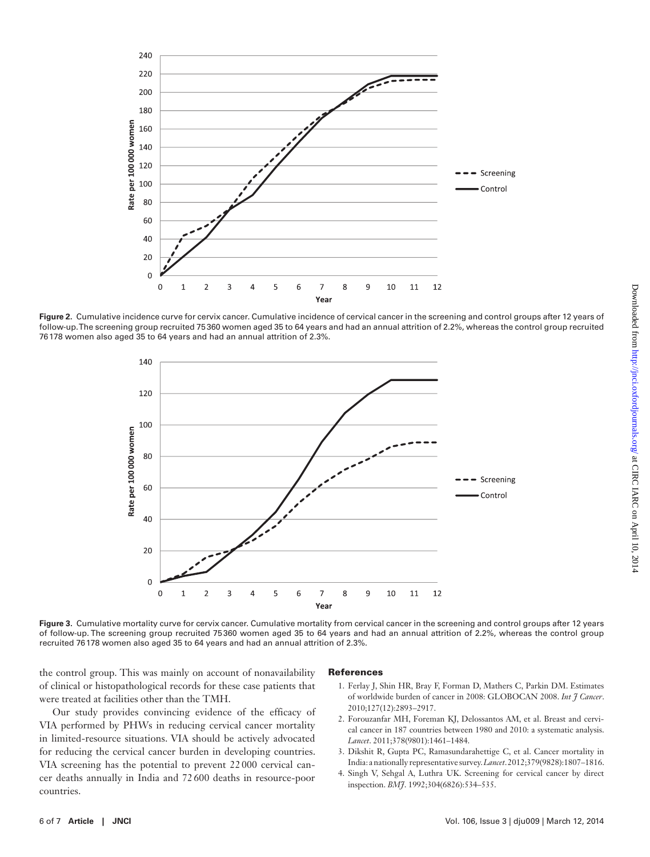

Figure 2. Cumulative incidence curve for cervix cancer. Cumulative incidence of cervical cancer in the screening and control groups after 12 years of follow-up. The screening group recruited 75360 women aged 35 to 64 years and had an annual attrition of 2.2%, whereas the control group recruited 76178 women also aged 35 to 64 years and had an annual attrition of 2.3%.

<span id="page-5-4"></span>

Figure 3. Cumulative mortality curve for cervix cancer. Cumulative mortality from cervical cancer in the screening and control groups after 12 years of follow-up. The screening group recruited 75360 women aged 35 to 64 years and had an annual attrition of 2.2%, whereas the control group recruited 76178 women also aged 35 to 64 years and had an annual attrition of 2.3%.

the control group. This was mainly on account of nonavailability of clinical or histopathological records for these case patients that were treated at facilities other than the TMH.

Our study provides convincing evidence of the efficacy of VIA performed by PHWs in reducing cervical cancer mortality in limited-resource situations. VIA should be actively advocated for reducing the cervical cancer burden in developing countries. VIA screening has the potential to prevent 22 000 cervical cancer deaths annually in India and 72 600 deaths in resource-poor countries.

#### <span id="page-5-5"></span>References

- <span id="page-5-0"></span>1. Ferlay J, Shin HR, Bray F, Forman D, Mathers C, Parkin DM. Estimates of worldwide burden of cancer in 2008: GLOBOCAN 2008. *Int J Cancer*. 2010;127(12):2893–2917.
- <span id="page-5-1"></span>2. Forouzanfar MH, Foreman KJ, Delossantos AM, et al. Breast and cervical cancer in 187 countries between 1980 and 2010: a systematic analysis. *Lancet*. 2011;378(9801):1461–1484.
- <span id="page-5-2"></span>3. Dikshit R, Gupta PC, Ramasundarahettige C, et al. Cancer mortality in India: a nationally representative survey. *Lancet*. 2012;379(9828):1807–1816.
- <span id="page-5-3"></span>4. Singh V, Sehgal A, Luthra UK. Screening for cervical cancer by direct inspection. *BMJ*. 1992;304(6826):534–535.